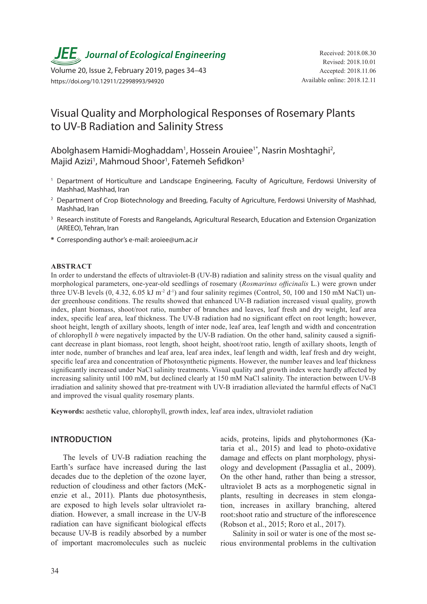*JEE* Journal of Ecological Engineering Received: 2018.08.30

Volume 20, Issue 2, February 2019, pages 34–43 https://doi.org/10.12911/22998993/94920

# Visual Quality and Morphological Responses of Rosemary Plants to UV-B Radiation and Salinity Stress

Abolghasem Hamidi-Moghaddam<sup>1</sup>, Hossein Arouiee<sup>1\*</sup>, Nasrin Moshtaghi<sup>2</sup>, Majid Azizi<sup>1</sup>, Mahmoud Shoor<sup>1</sup>, Fatemeh Sefidkon<sup>3</sup>

- <sup>1</sup> Department of Horticulture and Landscape Engineering, Faculty of Agriculture, Ferdowsi University of Mashhad, Mashhad, Iran
- <sup>2</sup> Department of Crop Biotechnology and Breeding, Faculty of Agriculture, Ferdowsi University of Mashhad, Mashhad, Iran
- <sup>3</sup> Research institute of Forests and Rangelands, Agricultural Research, Education and Extension Organization (AREEO), Tehran, Iran
- **\*** Corresponding author's e-mail: aroiee@um.ac.ir

#### **ABSTRACT**

In order to understand the effects of ultraviolet-B (UV-B) radiation and salinity stress on the visual quality and morphological parameters, one-year-old seedlings of rosemary (*Rosmarinus officinalis* L.) were grown under three UV-B levels  $(0, 4.32, 6.05 \text{ kJ m}^2 \text{ d}^{-1})$  and four salinity regimes (Control, 50, 100 and 150 mM NaCl) under greenhouse conditions. The results showed that enhanced UV-B radiation increased visual quality, growth index, plant biomass, shoot/root ratio, number of branches and leaves, leaf fresh and dry weight, leaf area index, specific leaf area, leaf thickness. The UV-B radiation had no significant effect on root length; however, shoot height, length of axillary shoots, length of inter node, leaf area, leaf length and width and concentration of chlorophyll *b* were negatively impacted by the UV-B radiation. On the other hand, salinity caused a significant decrease in plant biomass, root length, shoot height, shoot/root ratio, length of axillary shoots, length of inter node, number of branches and leaf area, leaf area index, leaf length and width, leaf fresh and dry weight, specific leaf area and concentration of Photosynthetic pigments. However, the number leaves and leaf thickness significantly increased under NaCl salinity treatments. Visual quality and growth index were hardly affected by increasing salinity until 100 mM, but declined clearly at 150 mM NaCl salinity. The interaction between UV-B irradiation and salinity showed that pre-treatment with UV-B irradiation alleviated the harmful effects of NaCl and improved the visual quality rosemary plants.

**Keywords:** aesthetic value, chlorophyll, growth index, leaf area index, ultraviolet radiation

# **INTRODUCTION**

The levels of UV-B radiation reaching the Earth's surface have increased during the last decades due to the depletion of the ozone layer, reduction of cloudiness and other factors (McKenzie et al., 2011). Plants due photosynthesis, are exposed to high levels solar ultraviolet radiation. However, a small increase in the UV-B radiation can have significant biological effects because UV-B is readily absorbed by a number of important macromolecules such as nucleic acids, proteins, lipids and phytohormones (Kataria et al., 2015) and lead to photo-oxidative damage and effects on plant morphology, physiology and development (Passaglia et al., 2009). On the other hand, rather than being a stressor, ultraviolet B acts as a morphogenetic signal in plants, resulting in decreases in stem elongation, increases in axillary branching, altered root:shoot ratio and structure of the inflorescence (Robson et al., 2015; Roro et al., 2017).

Salinity in soil or water is one of the most serious environmental problems in the cultivation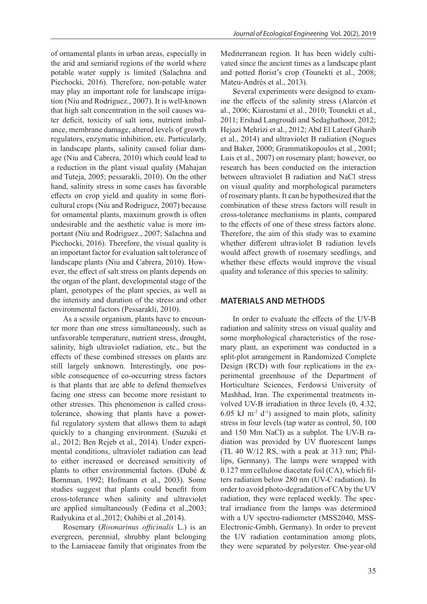of ornamental plants in urban areas, especially in the arid and semiarid regions of the world where potable water supply is limited (Salachna and Piechocki, 2016). Therefore, non-potable water may play an important role for landscape irrigation (Niu and Rodriguez., 2007). It is well-known that high salt concentration in the soil causes water deficit, toxicity of salt ions, nutrient imbalance, membrane damage, altered levels of growth regulators, enzymatic inhibition, etc. Particularly, in landscape plants, salinity caused foliar damage (Niu and Cabrera, 2010) which could lead to a reduction in the plant visual quality (Mahajan and Tuteja, 2005; pessarakli, 2010). On the other hand, salinity stress in some cases has favorable effects on crop yield and quality in some floricultural crops (Niu and Rodriguez, 2007) because for ornamental plants, maximum growth is often undesirable and the aesthetic value is more important (Niu and Rodriguez., 2007; Salachna and Piechocki, 2016). Therefore, the visual quality is an important factor for evaluation salt tolerance of landscape plants (Niu and Cabrera, 2010). However, the effect of salt stress on plants depends on the organ of the plant, developmental stage of the plant, genotypes of the plant species, as well as the intensity and duration of the stress and other environmental factors (Pessarakli, 2010).

As a sessile organism, plants have to encounter more than one stress simultaneously, such as unfavorable temperature, nutrient stress, drought, salinity, high ultraviolet radiation, etc., but the effects of these combined stresses on plants are still largely unknown. Interestingly, one possible consequence of co-occurring stress factors is that plants that are able to defend themselves facing one stress can become more resistant to other stresses. This phenomenon is called crosstolerance, showing that plants have a powerful regulatory system that allows them to adapt quickly to a changing environment. (Suzuki et al., 2012; Ben Rejeb et al., 2014). Under experimental conditions, ultraviolet radiation can lead to either increased or decreased sensitivity of plants to other environmental factors. (Dubé & Bornman, 1992; Hofmann et al., 2003). Some studies suggest that plants could benefit from cross-tolerance when salinity and ultraviolet are applied simultaneously (Fedina et al.,2003; Radyukina et al.,2012; Ouhibi et al.,2014).

Rosemary (*Rosmarinus officinalis* L.) is an evergreen, perennial, shrubby plant belonging to the Lamiaceae family that originates from the Mediterranean region. It has been widely cultivated since the ancient times as a landscape plant and potted florist's crop (Tounekti et al., 2008; Mateu-Andrés et al., 2013).

Several experiments were designed to examine the effects of the salinity stress (Alarcón et al., 2006; Kiarostami et al., 2010; Tounekti et al., 2011; Ershad Langroudi and Sedaghathoor, 2012; Hejazi Mehrizi et al., 2012; Abd El Lateef Gharib et al., 2014) and ultraviolet B radiation (Nogues and Baker, 2000; Grammatikopoulos et al., 2001; Luis et al., 2007) on rosemary plant; however, no research has been conducted on the interaction between ultraviolet B radiation and NaCl stress on visual quality and morphological parameters of rosemary plants. It can be hypothesized that the combination of these stress factors will result in cross-tolerance mechanisms in plants, compared to the effects of one of these stress factors alone. Therefore, the aim of this study was to examine whether different ultraviolet B radiation levels would affect growth of rosemary seedlings, and whether these effects would improve the visual quality and tolerance of this species to salinity.

### **MATERIALS AND METHODS**

In order to evaluate the effects of the UV-B radiation and salinity stress on visual quality and some morphological characteristics of the rosemary plant, an experiment was conducted in a split-plot arrangement in Randomized Complete Design (RCD) with four replications in the experimental greenhouse of the Department of Horticulture Sciences, Ferdowsi University of Mashhad, Iran. The experimental treatments involved UV-B irradiation in three levels (0, 4.32, 6.05 kJ m<sup>-2</sup> d<sup>-1</sup>) assigned to main plots, salinity stress in four levels (tap water as control, 50, 100 and 150 Mm NaCl) as a subplot. The UV-B radiation was provided by UV fluorescent lamps (TL 40 W/12 RS, with a peak at 313 nm; Phillips, Germany). The lamps were wrapped with 0.127 mm cellulose diacetate foil (CA), which filters radiation below 280 nm (UV-C radiation). In order to avoid photo-degradation of CA by the UV radiation, they were replaced weekly. The spectral irradiance from the lamps was determined with a UV spectro-radiometer (MSS2040, MSS-Electronic-Gmbh, Germany). In order to prevent the UV radiation contamination among plots, they were separated by polyester. One-year-old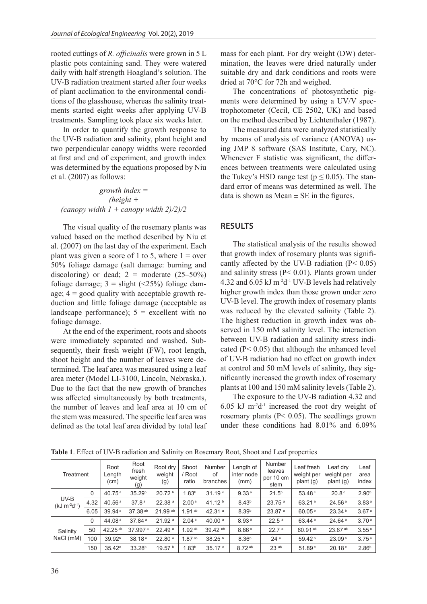rooted cuttings of *R. officinalis* were grown in 5 L plastic pots containing sand. They were watered daily with half strength Hoagland's solution. The UV-B radiation treatment started after four weeks of plant acclimation to the environmental conditions of the glasshouse, whereas the salinity treatments started eight weeks after applying UV-B treatments. Sampling took place six weeks later.

In order to quantify the growth response to the UV-B radiation and salinity, plant height and two perpendicular canopy widths were recorded at first and end of experiment, and growth index was determined by the equations proposed by Niu et al. (2007) as follows:

*growth index = (height + (canopy width 1 + canopy width 2)/2)/2*

The visual quality of the rosemary plants was valued based on the method described by Niu et al. (2007) on the last day of the experiment. Each plant was given a score of 1 to 5, where  $1 = over$ 50% foliage damage (salt damage: burning and discoloring) or dead;  $2 =$  moderate  $(25-50\%)$ foliage damage;  $3 =$  slight (<25%) foliage damage;  $4 = \text{good quality with acceptable growth re-}$ duction and little foliage damage (acceptable as landscape performance);  $5 =$  excellent with no foliage damage.

At the end of the experiment, roots and shoots were immediately separated and washed. Subsequently, their fresh weight (FW), root length, shoot height and the number of leaves were determined. The leaf area was measured using a leaf area meter (Model LI-3100, Lincoln, Nebraska,). Due to the fact that the new growth of branches was affected simultaneously by both treatments, the number of leaves and leaf area at 10 cm of the stem was measured. The specific leaf area was defined as the total leaf area divided by total leaf mass for each plant. For dry weight (DW) determination, the leaves were dried naturally under suitable dry and dark conditions and roots were dried at 70°C for 72h and weighed.

The concentrations of photosynthetic pigments were determined by using a UV/V spectrophotometer (Cecil, CE 2502, UK) and based on the method described by Lichtenthaler (1987).

The measured data were analyzed statistically by means of analysis of variance (ANOVA) using JMP 8 software (SAS Institute, Cary, NC). Whenever F statistic was significant, the differences between treatments were calculated using the Tukey's HSD range test ( $p \le 0.05$ ). The standard error of means was determined as well. The data is shown as Mean  $\pm$  SE in the figures.

## **RESULTS**

The statistical analysis of the results showed that growth index of rosemary plants was significantly affected by the UV-B radiation  $(P< 0.05)$ and salinity stress (P< 0.01). Plants grown under 4.32 and 6.05 kJ m-2d-1 UV-B levels had relatively higher growth index than those grown under zero UV-B level. The growth index of rosemary plants was reduced by the elevated salinity (Table 2). The highest reduction in growth index was observed in 150 mM salinity level. The interaction between UV-B radiation and salinity stress indicated (P< 0.05) that although the enhanced level of UV-B radiation had no effect on growth index at control and 50 mM levels of salinity, they significantly increased the growth index of rosemary plants at 100 and 150 mM salinity levels (Table 2).

The exposure to the UV-B radiation 4.32 and 6.05 kJ  $m<sup>2</sup>d<sup>-1</sup>$  increased the root dry weight of rosemary plants (P< 0.05). The seedlings grown under these conditions had 8.01% and 6.09%

| Treatment                      |          | Root<br>Length<br>(cm) | Root<br>fresh<br>weight<br>(g) | Root dry<br>weight<br>(g) | Shoot<br>/ Root<br>ratio | Number<br>of<br>branches | Length of<br>inter node<br>(mm) | Number<br>leaves<br>per 10 cm<br>stem | Leaf fresh<br>weight per<br>plant (g) | Leaf dry<br>weight per<br>plan (g) | Leaf<br>area<br>index |
|--------------------------------|----------|------------------------|--------------------------------|---------------------------|--------------------------|--------------------------|---------------------------------|---------------------------------------|---------------------------------------|------------------------------------|-----------------------|
| UV-B<br>$(kJ \, m^{-2}d^{-1})$ | $\Omega$ | 40.75 $a$              | 35.29 <sup>b</sup>             | 20.72 b                   | 1.83 <sup>b</sup>        | 31.19°                   | 9.33 <sup>a</sup>               | 21.5 <sup>b</sup>                     | 53.48 <sup>c</sup>                    | 20.8 <sup>c</sup>                  | 2.90 <sup>b</sup>     |
|                                | 4.32     | 40.56 $a$              | 37.8 <sup>a</sup>              | 22.38 <sup>a</sup>        | 2.00 <sup>a</sup>        | 41.12 $b$                | 8.43 <sup>b</sup>               | $23.75$ <sup>a</sup>                  | 63.21a                                | 24.56 <sup>a</sup>                 | 3.83 <sup>a</sup>     |
|                                | 6.05     | 39.94 <sup>a</sup>     | 37.38 <sup>ab</sup>            | 21.99 ab                  | $1.91^{ab}$              | $42.31$ <sup>a</sup>     | 8.39 <sup>b</sup>               | 23.87 <sup>a</sup>                    | 60.05 <sup>b</sup>                    | 23.34 <sup>b</sup>                 | 3.67 <sup>a</sup>     |
| Salinity<br>NaCl (mM)          | $\Omega$ | 44.08 <sup>a</sup>     | 37.84 <sup>a</sup>             | $21.92$ <sup>a</sup>      | 2.04 <sup>a</sup>        | 40.00 $a$                | 8.93 <sup>a</sup>               | 22.5 <sup>a</sup>                     | 63.44 <sup>a</sup>                    | 24.64 <sup>a</sup>                 | 3.70 <sup>a</sup>     |
|                                | 50       | 42.25 <sup>ab</sup>    | 37.997 <sup>a</sup>            | 22.49 <sup>a</sup>        | $1.92^{ab}$              | 39.42 ab                 | 8.86 <sup>a</sup>               | 22.7 <sup>a</sup>                     | 60.91 <sup>ab</sup>                   | 23.67 ab                           | 3.55a                 |
|                                | 100      | 39.92 <sup>b</sup>     | 38.18 <sup>a</sup>             | 22.80 <sup>a</sup>        | $1.87^{ab}$              | 38.25 <sup>b</sup>       | 8.36 <sup>b</sup>               | 24 <sup>a</sup>                       | 59.42 <sup>b</sup>                    | 23.09 <sup>b</sup>                 | 3.75 <sup>a</sup>     |
|                                | 150      | $35.42^\circ$          | 33.28 <sup>b</sup>             | 19.57 <sup>b</sup>        | 1.83 <sup>b</sup>        | 35.17°                   | 8.72 ab                         | $23$ ab                               | 51.89°                                | 20.18°                             | 2.86 <sup>b</sup>     |

**Table 1**. Effect of UV-B radiation and Salinity on Rosemary Root, Shoot and Leaf properties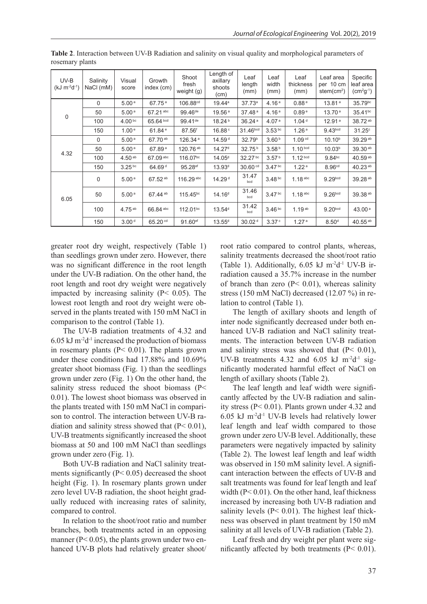| UV-B<br>$(kJ m^{-2}d^{-1})$ | Salinity<br>NaCl (mM) | Visual<br>score    | Growth<br>index (cm) | Shoot<br>fresh<br>weight (g) | Length of<br>axillary<br>shoots<br>(cm) | Leaf<br>length<br>(mm) | Leaf<br>width<br>(mm) | Leaf<br>thickness<br>(mm) | Leaf area<br>per 10 cm<br>stem $(cm2)$ | Specific<br>leaf area<br>$\left( \text{cm}^2 \text{g}^{\text{-1}} \right)$ |
|-----------------------------|-----------------------|--------------------|----------------------|------------------------------|-----------------------------------------|------------------------|-----------------------|---------------------------|----------------------------------------|----------------------------------------------------------------------------|
| $\Omega$                    | $\Omega$              | 5.00 <sup>a</sup>  | 67.75a               | 106.88 <sup>cd</sup>         | 19.44a                                  | 37.73a                 | 4.16 <sup>a</sup>     | 0.88e                     | 13.81 <sup>a</sup>                     | 35.79bc                                                                    |
|                             | 50                    | 5.00 <sup>a</sup>  | 67.21 abc            | $99.46^{\text{de}}$          | 19.56 <sup>a</sup>                      | 37.48 <sup>a</sup>     | 4.16 <sup>a</sup>     | 0.89 <sup>e</sup>         | 13.70 <sup>a</sup>                     | $35.41^{bc}$                                                               |
|                             | 100                   | 4.00 <sup>bc</sup> | 65.64 bcd            | 99.41 <sup>de</sup>          | 18.24 <sup>b</sup>                      | 36.24a                 | 4.07 <sup>a</sup>     | 1.04 <sup>d</sup>         | 12.91 <sup>a</sup>                     | 38.72 <sup>ab</sup>                                                        |
|                             | 150                   | 1.00 <sup>e</sup>  | 61.84 <sup>e</sup>   | $87.56$ <sup>f</sup>         | 16.88 <sup>c</sup>                      | 31.46 <sup>bcd</sup>   | $3.53^{bc}$           | 1.26 <sup>a</sup>         | 9.43 <sub>bcd</sub>                    | $31.25$ <sup>c</sup>                                                       |
| 4.32                        | 0                     | 5.00 <sup>a</sup>  | 67.70 <sup>ab</sup>  | 126.34 <sup>a</sup>          | 14.59 <sup>d</sup>                      | 32.79 <sup>b</sup>     | 3.60 <sup>b</sup>     | 1.09 <sup>cd</sup>        | $10.10^{b}$                            | 39.29 <sup>ab</sup>                                                        |
|                             | 50                    | 5.00 <sup>a</sup>  | 67.89 <sup>a</sup>   | 120.76 <sup>ab</sup>         | 14.27 <sup>d</sup>                      | $32.75^{b}$            | 3.58 <sup>b</sup>     | 1.10 <sup>bcd</sup>       | 10.03 <sup>b</sup>                     | 39.30 <sup>ab</sup>                                                        |
|                             | 100                   | 4.50 <sup>ab</sup> | 67.09 abc            | $116.07^{bc}$                | 14.05 <sup>d</sup>                      | 32.27 bc               | 3.57 <sup>b</sup>     | 1.12 <sup>bcd</sup>       | $9.84^{bc}$                            | 40.59 $^{ab}$                                                              |
|                             | 150                   | $3.25^{bc}$        | 64.69 <sup>d</sup>   | $95.28$ <sup>ef</sup>        | 13.93 <sup>d</sup>                      | $30.60$ <sup>cd</sup>  | 3.47 <sup>bc</sup>    | 1.22 <sup>a</sup>         | 8.96 <sup>cd</sup>                     | 40.23 $^{ab}$                                                              |
| 6.05                        | $\mathbf 0$           | 5.00 <sup>a</sup>  | 67.52 <sup>ab</sup>  | 116.29 abc                   | 14.29 <sup>d</sup>                      | 31.47<br>bcd           | 3.48 <sup>bc</sup>    | $1.18$ abc                | 9.29 <sub>bcd</sub>                    | 39.28 ab                                                                   |
|                             | 50                    | 5.00 <sup>a</sup>  | 67.44 <sup>ab</sup>  | $115.45^{bc}$                | 14.16 <sup>d</sup>                      | 31.46<br>bcd           | 3.47 <sup>bc</sup>    | $1.18$ abc                | 9.26 <sub>bcd</sub>                    | 39.38 ab                                                                   |
|                             | 100                   | $4.75^{ab}$        | 66.84 abc            | $112.01^{bc}$                | 13.54 <sup>d</sup>                      | 31.42<br>bcd           | 3.46 <sup>bc</sup>    | $1.19^{ab}$               | 9.20 <sub>bcd</sub>                    | 43.00 $a$                                                                  |
|                             | 150                   | 3.00 <sup>d</sup>  | 65.20 <sup>cd</sup>  | 91.60 <sup>ef</sup>          | $13.55^{d}$                             | 30.02 <sup>d</sup>     | 3.37 <sup>c</sup>     | 1.27 <sup>a</sup>         | 8.50 <sup>d</sup>                      | 40.55 <sup>ab</sup>                                                        |

**Table 2**. Interaction between UV-B Radiation and salinity on visual quality and morphological parameters of rosemary plants

greater root dry weight, respectively (Table 1) than seedlings grown under zero. However, there was no significant difference in the root length under the UV-B radiation. On the other hand, the root length and root dry weight were negatively impacted by increasing salinity (P< 0.05). The lowest root length and root dry weight were observed in the plants treated with 150 mM NaCl in comparison to the control (Table 1).

The UV-B radiation treatments of 4.32 and  $6.05$  kJ m<sup>-2</sup>d<sup>-1</sup> increased the production of biomass in rosemary plants (P< 0.01). The plants grown under these conditions had 17.88% and 10.69% greater shoot biomass (Fig. 1) than the seedlings grown under zero (Fig. 1) On the other hand, the salinity stress reduced the shoot biomass (P< 0.01). The lowest shoot biomass was observed in the plants treated with 150 mM NaCl in comparison to control. The interaction between UV-B radiation and salinity stress showed that  $(P< 0.01)$ , UV-B treatments significantly increased the shoot biomass at 50 and 100 mM NaCl than seedlings grown under zero (Fig. 1).

Both UV-B radiation and NaCl salinity treatments significantly  $(P< 0.05)$  decreased the shoot height (Fig. 1). In rosemary plants grown under zero level UV-B radiation, the shoot height gradually reduced with increasing rates of salinity, compared to control.

In relation to the shoot/root ratio and number branches, both treatments acted in an opposing manner ( $P < 0.05$ ), the plants grown under two enhanced UV-B plots had relatively greater shoot/

root ratio compared to control plants, whereas, salinity treatments decreased the shoot/root ratio (Table 1). Additionally,  $6.05$  kJ m<sup>-2</sup>d<sup>-1</sup> UV-B irradiation caused a 35.7% increase in the number of branch than zero  $(P< 0.01)$ , whereas salinity stress (150 mM NaCl) decreased (12.07 %) in relation to control (Table 1).

The length of axillary shoots and length of inter node significantly decreased under both enhanced UV-B radiation and NaCl salinity treatments. The interaction between UV-B radiation and salinity stress was showed that  $(P< 0.01)$ , UV-B treatments 4.32 and 6.05 kJ  $m<sup>-2</sup>d<sup>-1</sup>$  significantly moderated harmful effect of NaCl on length of axillary shoots (Table 2).

The leaf length and leaf width were significantly affected by the UV-B radiation and salinity stress (P< 0.01). Plants grown under 4.32 and 6.05 kJ m-2d-1 UV-B levels had relatively lower leaf length and leaf width compared to those grown under zero UV-B level. Additionally, these parameters were negatively impacted by salinity (Table 2). The lowest leaf length and leaf width was observed in 150 mM salinity level. A significant interaction between the effects of UV-B and salt treatments was found for leaf length and leaf width (P< 0.01). On the other hand, leaf thickness increased by increasing both UV-B radiation and salinity levels  $(P< 0.01)$ . The highest leaf thickness was observed in plant treatment by 150 mM salinity at all levels of UV-B radiation (Table 2).

Leaf fresh and dry weight per plant were significantly affected by both treatments (P< 0.01).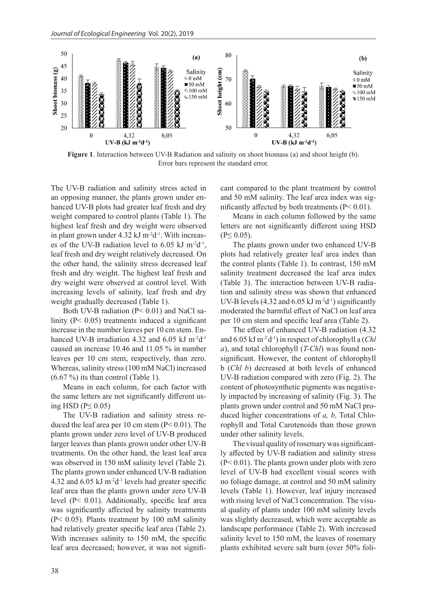

**Figure 1**. Interaction between UV-B Radiation and salinity on shoot biomass (a) and shoot height (b). Error bars represent the standard error.

The UV-B radiation and salinity stress acted in an opposing manner, the plants grown under enhanced UV-B plots had greater leaf fresh and dry weight compared to control plants (Table 1). The highest leaf fresh and dry weight were observed in plant grown under  $4.32 \text{ kJ m}^2d^{-1}$ . With increases of the UV-B radiation level to  $6.05$  kJ m<sup>-2</sup>d<sup>-1</sup>, leaf fresh and dry weight relatively decreased. On the other hand, the salinity stress decreased leaf fresh and dry weight. The highest leaf fresh and dry weight were observed at control level. With increasing levels of salinity, leaf fresh and dry weight gradually decreased (Table 1).

Both UV-B radiation  $(P< 0.01)$  and NaCl salinity (P< 0.05) treatments induced a significant increase in the number leaves per 10 cm stem. Enhanced UV-B irradiation 4.32 and  $6.05$  kJ m<sup>-2</sup>d<sup>-1</sup> caused an increase 10.46 and 11.05 % in number leaves per 10 cm stem, respectively, than zero. Whereas, salinity stress (100 mM NaCl) increased  $(6.67 \%)$  its than control (Table 1).

Means in each column, for each factor with the same letters are not significantly different using HSD ( $P \leq 0.05$ )

The UV-B radiation and salinity stress reduced the leaf area per 10 cm stem  $(P< 0.01)$ . The plants grown under zero level of UV-B produced larger leaves than plants grown under other UV-B treatments. On the other hand, the least leaf area was observed in 150 mM salinity level (Table 2). The plants grown under enhanced UV-B radiation 4.32 and  $6.05 \text{ kJ m}^{-2}$ d<sup>-1</sup> levels had greater specific leaf area than the plants grown under zero UV-B level (P< 0.01). Additionally, specific leaf area was significantly affected by salinity treatments (P< 0.05). Plants treatment by 100 mM salinity had relatively greater specific leaf area (Table 2). With increases salinity to 150 mM, the specific leaf area decreased; however, it was not significant compared to the plant treatment by control and 50 mM salinity. The leaf area index was significantly affected by both treatments (P< 0.01).

Means in each column followed by the same letters are not significantly different using HSD  $(P< 0.05)$ .

The plants grown under two enhanced UV-B plots had relatively greater leaf area index than the control plants (Table 1). In contrast, 150 mM salinity treatment decreased the leaf area index (Table 3). The interaction between UV-B radiation and salinity stress was shown that enhanced UV-B levels (4.32 and  $6.05 \text{ kJ m}^{-2}$ d<sup>-1</sup>) significantly moderated the harmful effect of NaCl on leaf area per 10 cm stem and specific leaf area (Table 2).

The effect of enhanced UV-B radiation (4.32 and 6.05 kJ m-2 d-1) in respect of chlorophyll a (*Chl a*), and total chlorophyll (*T-Chl*) was found nonsignificant. However, the content of chlorophyll b (*Chl b*) decreased at both levels of enhanced UV-B radiation compared with zero (Fig. 2). The content of photosynthetic pigments was negatively impacted by increasing of salinity (Fig. 3). The plants grown under control and 50 mM NaCl produced higher concentrations of *a, b,* Total Chlorophyll and Total Carotenoids than those grown under other salinity levels.

The visual quality of rosemary was significantly affected by UV-B radiation and salinity stress  $(P< 0.01)$ . The plants grown under plots with zero level of UV-B had excellent visual scores with no foliage damage, at control and 50 mM salinity levels (Table 1). However, leaf injury increased with rising level of NaCl concentration. The visual quality of plants under 100 mM salinity levels was slightly decreased, which were acceptable as landscape performance (Table 2). With increased salinity level to 150 mM, the leaves of rosemary plants exhibited severe salt burn (over 50% foli-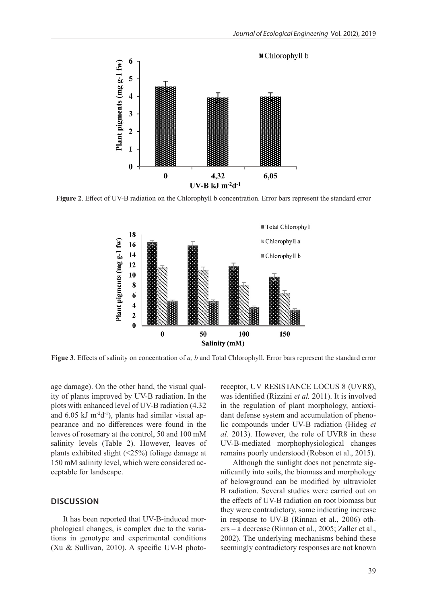

**Figure 2**. Effect of UV-B radiation on the Chlorophyll b concentration. Error bars represent the standard error



**Figue 3**. Effects of salinity on concentration of *a, b* and Total Chlorophyll. Error bars represent the standard error

age damage). On the other hand, the visual quality of plants improved by UV-B radiation. In the plots with enhanced level of UV-B radiation (4.32 and 6.05 kJ m-2d-1), plants had similar visual appearance and no differences were found in the leaves of rosemary at the control, 50 and 100 mM salinity levels (Table 2). However, leaves of plants exhibited slight (<25%) foliage damage at 150 mM salinity level, which were considered acceptable for landscape.

#### **DISCUSSION**

It has been reported that UV-B-induced morphological changes, is complex due to the variations in genotype and experimental conditions (Xu & Sullivan, 2010). A specific UV-B photoreceptor, UV RESISTANCE LOCUS 8 (UVR8), was identified (Rizzini *et al.* 2011). It is involved in the regulation of plant morphology, antioxidant defense system and accumulation of phenolic compounds under UV-B radiation (Hideg *et al.* 2013). However, the role of UVR8 in these UV-B-mediated morphophysiological changes remains poorly understood (Robson et al., 2015).

Although the sunlight does not penetrate significantly into soils, the biomass and morphology of belowground can be modified by ultraviolet B radiation. Several studies were carried out on the effects of UV-B radiation on root biomass but they were contradictory, some indicating increase in response to UV-B (Rinnan et al., 2006) others – a decrease (Rinnan et al., 2005; Zaller et al., 2002). The underlying mechanisms behind these seemingly contradictory responses are not known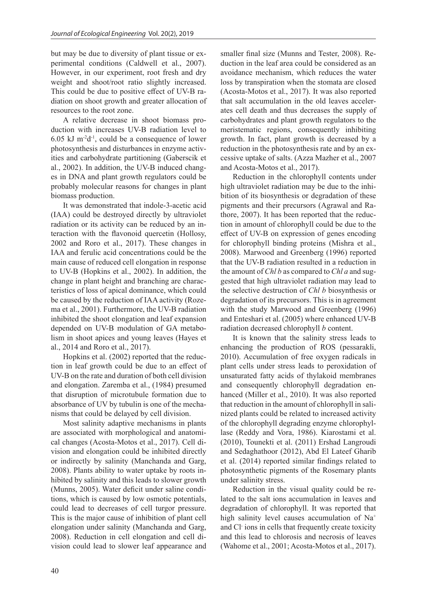but may be due to diversity of plant tissue or experimental conditions (Caldwell et al., 2007). However, in our experiment, root fresh and dry weight and shoot/root ratio slightly increased. This could be due to positive effect of UV-B radiation on shoot growth and greater allocation of resources to the root zone.

A relative decrease in shoot biomass production with increases UV-B radiation level to  $6.05$  kJ m<sup>-2</sup>d<sup>-1</sup>, could be a consequence of lower photosynthesis and disturbances in enzyme activities and carbohydrate partitioning (Gaberscik et al., 2002). In addition, the UV-B induced changes in DNA and plant growth regulators could be probably molecular reasons for changes in plant biomass production.

It was demonstrated that indole-3-acetic acid (IAA) could be destroyed directly by ultraviolet radiation or its activity can be reduced by an interaction with the flavonoid quercetin (Hollosy, 2002 and Roro et al., 2017). These changes in IAA and ferulic acid concentrations could be the main cause of reduced cell elongation in response to UV-B (Hopkins et al., 2002). In addition, the change in plant height and branching are characteristics of loss of apical dominance, which could be caused by the reduction of IAA activity (Rozema et al., 2001). Furthermore, the UV-B radiation inhibited the shoot elongation and leaf expansion depended on UV-B modulation of GA metabolism in shoot apices and young leaves (Hayes et al., 2014 and Roro et al., 2017).

Hopkins et al. (2002) reported that the reduction in leaf growth could be due to an effect of UV-B on the rate and duration of both cell division and elongation. Zaremba et al., (1984) presumed that disruption of microtubule formation due to absorbance of UV by tubulin is one of the mechanisms that could be delayed by cell division.

Most salinity adaptive mechanisms in plants are associated with morphological and anatomical changes (Acosta-Motos et al., 2017). Cell division and elongation could be inhibited directly or indirectly by salinity (Manchanda and Garg, 2008). Plants ability to water uptake by roots inhibited by salinity and this leads to slower growth (Munns, 2005). Water deficit under saline conditions, which is caused by low osmotic potentials, could lead to decreases of cell turgor pressure. This is the major cause of inhibition of plant cell elongation under salinity (Manchanda and Garg, 2008). Reduction in cell elongation and cell division could lead to slower leaf appearance and

smaller final size (Munns and Tester, 2008). Reduction in the leaf area could be considered as an avoidance mechanism, which reduces the water loss by transpiration when the stomata are closed (Acosta-Motos et al., 2017). It was also reported that salt accumulation in the old leaves accelerates cell death and thus decreases the supply of carbohydrates and plant growth regulators to the meristematic regions, consequently inhibiting growth. In fact, plant growth is decreased by a reduction in the photosynthesis rate and by an excessive uptake of salts. (Azza Mazher et al., 2007 and Acosta-Motos et al., 2017).

Reduction in the chlorophyll contents under high ultraviolet radiation may be due to the inhibition of its biosynthesis or degradation of these pigments and their precursors (Agrawal and Rathore, 2007). It has been reported that the reduction in amount of chlorophyll could be due to the effect of UV-B on expression of genes encoding for chlorophyll binding proteins (Mishra et al., 2008). Marwood and Greenberg (1996) reported that the UV-B radiation resulted in a reduction in the amount of *Chl b* as compared to *Chl a* and suggested that high ultraviolet radiation may lead to the selective destruction of *Chl b* biosynthesis or degradation of its precursors. This is in agreement with the study Marwood and Greenberg (1996) and Enteshari et al. (2005) where enhanced UV-B radiation decreased chlorophyll *b* content.

It is known that the salinity stress leads to enhancing the production of ROS (pessarakli, 2010). Accumulation of free oxygen radicals in plant cells under stress leads to peroxidation of unsaturated fatty acids of thylakoid membranes and consequently chlorophyll degradation enhanced (Miller et al., 2010). It was also reported that reduction in the amount of chlorophyll in salinized plants could be related to increased activity of the chlorophyll degrading enzyme chlorophyllase (Reddy and Vora, 1986). Kiarostami et al. (2010), Tounekti et al. (2011) Ershad Langroudi and Sedaghathoor (2012), Abd El Lateef Gharib et al. (2014) reported similar findings related to photosynthetic pigments of the Rosemary plants under salinity stress.

Reduction in the visual quality could be related to the salt ions accumulation in leaves and degradation of chlorophyll. It was reported that high salinity level causes accumulation of Na<sup>+</sup> and Cl- ions in cells that frequently create toxicity and this lead to chlorosis and necrosis of leaves (Wahome et al., 2001; Acosta-Motos et al., 2017).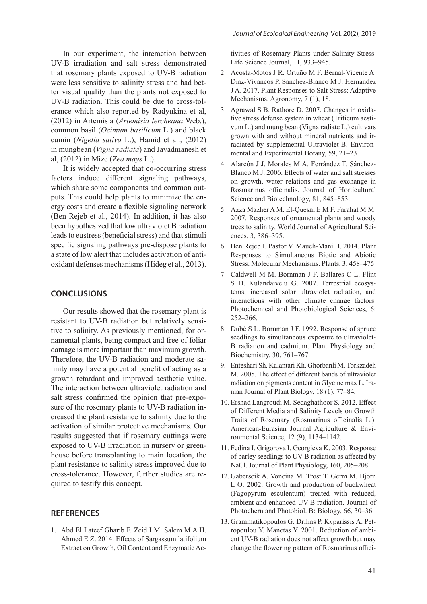In our experiment, the interaction between UV-B irradiation and salt stress demonstrated that rosemary plants exposed to UV-B radiation were less sensitive to salinity stress and had better visual quality than the plants not exposed to UV-B radiation. This could be due to cross-tolerance which also reported by Radyukina et al, (2012) in Artemisia (*Artemisia lercheana* Web.), common basil (*Ocimum basilicum* L.) and black cumin (*Nigella sativa* L.), Hamid et al., (2012) in mungbean (*Vigna radiata*) and Javadmanesh et al, (2012) in Mize (*Zea mays* L.).

It is widely accepted that co-occurring stress factors induce different signaling pathways, which share some components and common outputs. This could help plants to minimize the energy costs and create a flexible signaling network (Ben Rejeb et al., 2014). In addition, it has also been hypothesized that low ultraviolet B radiation leads to eustress (beneficial stress) and that stimuli specific signaling pathways pre-dispose plants to a state of low alert that includes activation of antioxidant defenses mechanisms (Hideg et al., 2013).

# **CONCLUSIONS**

Our results showed that the rosemary plant is resistant to UV-B radiation but relatively sensitive to salinity. As previously mentioned, for ornamental plants, being compact and free of foliar damage is more important than maximum growth. Therefore, the UV-B radiation and moderate salinity may have a potential benefit of acting as a growth retardant and improved aesthetic value. The interaction between ultraviolet radiation and salt stress confirmed the opinion that pre-exposure of the rosemary plants to UV-B radiation increased the plant resistance to salinity due to the activation of similar protective mechanisms. Our results suggested that if rosemary cuttings were exposed to UV-B irradiation in nursery or greenhouse before transplanting to main location, the plant resistance to salinity stress improved due to cross-tolerance. However, further studies are required to testify this concept.

# **REFERENCES**

1. Abd El Lateef Gharib F. Zeid I M. Salem M A H. Ahmed E Z. 2014. Effects of Sargassum latifolium Extract on Growth, Oil Content and Enzymatic Activities of Rosemary Plants under Salinity Stress. Life Science Journal, 11, 933–945.

- 2. Acosta-Motos J R. Ortuño M F. Bernal-Vicente A. Diaz-Vivancos P. Sanchez-Blanco M J. Hernandez J A. 2017. Plant Responses to Salt Stress: Adaptive Mechanisms. Agronomy, 7 (1), 18.
- 3. Agrawal S B. Rathore D. 2007. Changes in oxidative stress defense system in wheat (Triticum aestivum L.) and mung bean (Vigna radiate L.) cultivars grown with and without mineral nutrients and irradiated by supplemental Ultraviolet-B. Environmental and Experimental Botany, 59, 21–23.
- 4. Alarcón J J. Morales M A. Ferrández T. Sánchez-Blanco M J. 2006. Effects of water and salt stresses on growth, water relations and gas exchange in Rosmarinus officinalis. Journal of Horticultural Science and Biotechnology, 81, 845–853.
- 5. Azza Mazher A M. El-Quesni E M F. Farahat M M. 2007. Responses of ornamental plants and woody trees to salinity. World Journal of Agricultural Sciences, 3, 386–395.
- 6. Ben Rejeb I. Pastor V. Mauch-Mani B. 2014. Plant Responses to Simultaneous Biotic and Abiotic Stress: Molecular Mechanisms. Plants, 3, 458–475.
- 7. Caldwell M M. Bornman J F. Ballares C L. Flint S D. Kulandaivelu G. 2007. Terrestrial ecosystems, increased solar ultraviolet radiation, and interactions with other climate change factors. Photochemical and Photobiological Sciences, 6: 252–266.
- 8. Dubé S L. Bornman J F. 1992. Response of spruce seedlings to simultaneous exposure to ultraviolet-B radiation and cadmium. Plant Physiology and Biochemistry, 30, 761–767.
- 9. Enteshari Sh. Kalantari Kh. Ghorbanli M. Torkzadeh M. 2005. The effect of different bands of ultraviolet radiation on pigments content in Glycine max L. Iranian Journal of Plant Biology, 18 (1), 77–84.
- 10. Ershad Langroudi M. Sedaghathoor S. 2012. Effect of Different Media and Salinity Levels on Growth Traits of Rosemary (Rosmarinus officinalis L.). American-Eurasian Journal Agriculture & Environmental Science, 12 (9), 1134–1142.
- 11. Fedina I. Grigorova I. Georgieva K. 2003. Response of barley seedlings to UV-B radiation as affected by NaCl. Journal of Plant Physiology, 160, 205–208.
- 12. Gaberscik A. Voncina M. Trost T. Germ M. Bjorn L O. 2002. Growth and production of buckwheat (Fagopyrum esculentum) treated with reduced, ambient and enhanced UV-B radiation. Journal of Photochern and Photobiol. B: Biology, 66, 30–36.
- 13. Grammatikopoulos G. Drilias P. Kyparissis A. Petropoulou Y. Manetas Y. 2001. Reduction of ambient UV-B radiation does not affect growth but may change the flowering pattern of Rosmarinus offici-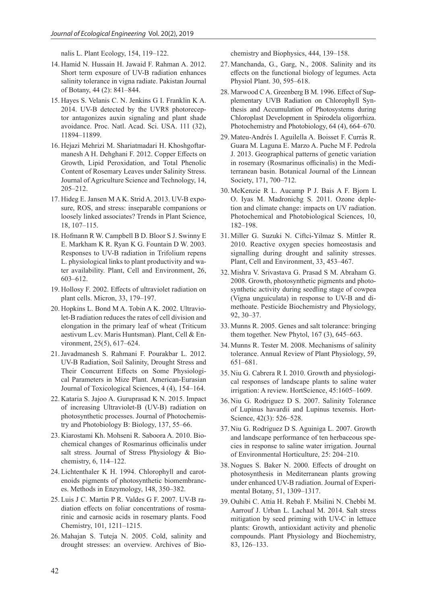nalis L. Plant Ecology, 154, 119–122.

- 14. Hamid N. Hussain H. Jawaid F. Rahman A. 2012. Short term exposure of UV-B radiation enhances salinity tolerance in vigna radiate. Pakistan Journal of Botany, 44 (2): 841–844.
- 15. Hayes S. Velanis C. N. Jenkins G I. Franklin K A. 2014. UV-B detected by the UVR8 photoreceptor antagonizes auxin signaling and plant shade avoidance. Proc. Natl. Acad. Sci. USA. 111 (32), 11894–11899.
- 16. Hejazi Mehrizi M. Shariatmadari H. Khoshgoftarmanesh A H. Dehghani F. 2012. Copper Effects on Growth, Lipid Peroxidation, and Total Phenolic Content of Rosemary Leaves under Salinity Stress. Journal of Agriculture Science and Technology, 14, 205–212.
- 17. Hideg E. Jansen M A K. Strid A. 2013. UV-B exposure, ROS, and stress: inseparable companions or loosely linked associates? Trends in Plant Science, 18, 107–115.
- 18. Hofmann R W. Campbell B D. Bloor S J. Swinny E E. Markham K R. Ryan K G. Fountain D W. 2003. Responses to UV-B radiation in Trifolium repens L. physiological links to plant productivity and water availability. Plant, Cell and Environment, 26, 603–612.
- 19. Hollosy F. 2002. Effects of ultraviolet radiation on plant cells. Micron, 33, 179–197.
- 20. Hopkins L. Bond M A. Tobin A K. 2002. Ultraviolet-B radiation reduces the rates of cell division and elongation in the primary leaf of wheat (Triticum aestivum L.cv. Maris Huntsman). Plant, Cell & Environment, 25(5), 617–624.
- 21.Javadmanesh S. Rahmani F. Pourakbar L. 2012. UV-B Radiation, Soil Salinity, Drought Stress and Their Concurrent Effects on Some Physiological Parameters in Mize Plant. American-Eurasian Journal of Toxicological Sciences, 4 (4), 154–164.
- 22. Kataria S. Jajoo A. Guruprasad K N. 2015. Impact of increasing Ultraviolet-B (UV-B) radiation on photosynthetic processes. Journal of Photochemistry and Photobiology B: Biology, 137, 55–66.
- 23. Kiarostami Kh. Mohseni R. Saboora A. 2010. Biochemical changes of Rosmarinus officinalis under salt stress. Journal of Stress Physiology & Biochemistry, 6, 114–122.
- 24. Lichtenthaler K H. 1994. Chlorophyll and carotenoids pigments of photosynthetic biomembrances. Methods in Enzymology, 148, 350–382.
- 25. Luis J C. Martin P R. Valdes G F. 2007. UV-B radiation effects on foliar concentrations of rosmarinic and carnosic acids in rosemary plants. Food Chemistry, 101, 1211–1215.
- 26. Mahajan S. Tuteja N. 2005. Cold, salinity and drought stresses: an overview. Archives of Bio-

chemistry and Biophysics, 444, 139–158.

- 27. Manchanda, G., Garg, N., 2008. Salinity and its effects on the functional biology of legumes. Acta Physiol Plant. 30, 595–618.
- 28. Marwood C A. Greenberg B M. 1996. Effect of Supplementary UVB Radiation on Chlorophyll Synthesis and Accumulation of Photosystems during Chloroplast Development in Spirodela oligorrhiza. Photochemistry and Photobiology, 64 (4), 664–670.
- 29. Mateu-Andrés I. Aguilella A. Boisset F. Currás R. Guara M. Laguna E. Marzo A. Puche M F. Pedrola J. 2013. Geographical patterns of genetic variation in rosemary (Rosmarinus officinalis) in the Mediterranean basin. Botanical Journal of the Linnean Society, 171, 700–712.
- 30. McKenzie R L. Aucamp P J. Bais A F. Bjorn L O. Iyas M. Madronichg S. 2011. Ozone depletion and climate change: impacts on UV radiation. Photochemical and Photobiological Sciences, 10, 182–198.
- 31. Miller G. Suzuki N. Ciftci-Yilmaz S. Mittler R. 2010. Reactive oxygen species homeostasis and signalling during drought and salinity stresses. Plant, Cell and Environment, 33, 453–467.
- 32. Mishra V. Srivastava G. Prasad S M. Abraham G. 2008. Growth, photosynthetic pigments and photosynthetic activity during seedling stage of cowpea (Vigna unguiculata) in response to UV-B and dimethoate. Pesticide Biochemistry and Physiology, 92, 30–37.
- 33. Munns R. 2005. Genes and salt tolerance: bringing them together. New Phytol, 167 (3), 645–663.
- 34. Munns R. Tester M. 2008. Mechanisms of salinity tolerance. Annual Review of Plant Physiology, 59, 651–681.
- 35. Niu G. Cabrera R I. 2010. Growth and physiological responses of landscape plants to saline water irrigation: A review. HortScience, 45:1605–1609.
- 36. Niu G. Rodriguez D S. 2007. Salinity Tolerance of Lupinus havardii and Lupinus texensis. Hort-Science, 42(3): 526–528.
- 37. Niu G. Rodriguez D S. Aguiniga L. 2007. Growth and landscape performance of ten herbaceous species in response to saline water irrigation. Journal of Environmental Horticulture, 25: 204–210.
- 38. Nogues S. Baker N. 2000. Effects of drought on photosynthesis in Mediterranean plants growing under enhanced UV-B radiation. Journal of Experimental Botany, 51, 1309–1317.
- 39. Ouhibi C. Attia H. Rebah F. Msilini N. Chebbi M. Aarrouf J. Urban L. Lachaal M. 2014. Salt stress mitigation by seed priming with UV-C in lettuce plants: Growth, antioxidant activity and phenolic compounds. Plant Physiology and Biochemistry, 83, 126–133.